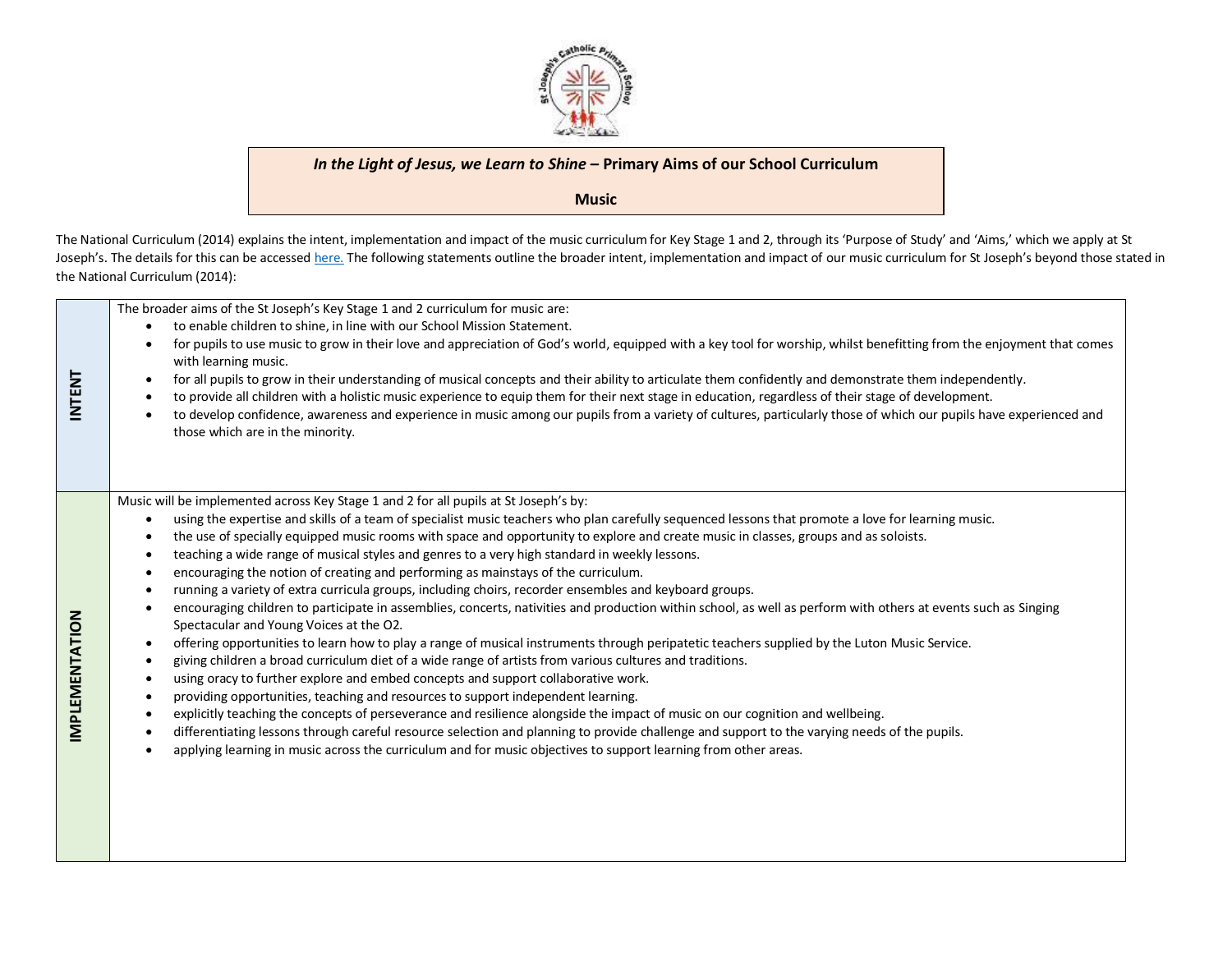

## *In the Light of Jesus, we Learn to Shine* **– Primary Aims of our School Curriculum**

**Music**

The National Curriculum (2014) explains the intent, implementation and impact of the music curriculum for Key Stage 1 and 2, through its 'Purpose of Study' and 'Aims,' which we apply at St Joseph's. The details for this can be accessed [here.](https://www.gov.uk/government/publications/national-curriculum-in-england-music-programmes-of-study/national-curriculum-in-england-music-programmes-of-study) The following statements outline the broader intent, implementation and impact of our music curriculum for St Joseph's beyond those stated in the National Curriculum (2014):

The broader aims of the St Joseph's Key Stage 1 and 2 curriculum for music are: to enable children to shine, in line with our School Mission Statement. for pupils to use music to grow in their love and appreciation of God's world, equipped with a key tool for worship, whilst benefitting from the enjoyment that comes with learning music. **INTENT** for all pupils to grow in their understanding of musical concepts and their ability to articulate them confidently and demonstrate them independently. to provide all children with a holistic music experience to equip them for their next stage in education, regardless of their stage of development. to develop confidence, awareness and experience in music among our pupils from a variety of cultures, particularly those of which our pupils have experienced and those which are in the minority. Music will be implemented across Key Stage 1 and 2 for all pupils at St Joseph's by: using the expertise and skills of a team of specialist music teachers who plan carefully sequenced lessons that promote a love for learning music. the use of specially equipped music rooms with space and opportunity to explore and create music in classes, groups and as soloists. teaching a wide range of musical styles and genres to a very high standard in weekly lessons. encouraging the notion of creating and performing as mainstays of the curriculum. running a variety of extra curricula groups, including choirs, recorder ensembles and keyboard groups. encouraging children to participate in assemblies, concerts, nativities and production within school, as well as perform with others at events such as Singing MPLEMENTATION **IMPLEMENTATION** Spectacular and Young Voices at the O2. offering opportunities to learn how to play a range of musical instruments through peripatetic teachers supplied by the Luton Music Service. giving children a broad curriculum diet of a wide range of artists from various cultures and traditions. using oracy to further explore and embed concepts and support collaborative work. providing opportunities, teaching and resources to support independent learning. explicitly teaching the concepts of perseverance and resilience alongside the impact of music on our cognition and wellbeing. differentiating lessons through careful resource selection and planning to provide challenge and support to the varying needs of the pupils. applying learning in music across the curriculum and for music objectives to support learning from other areas.